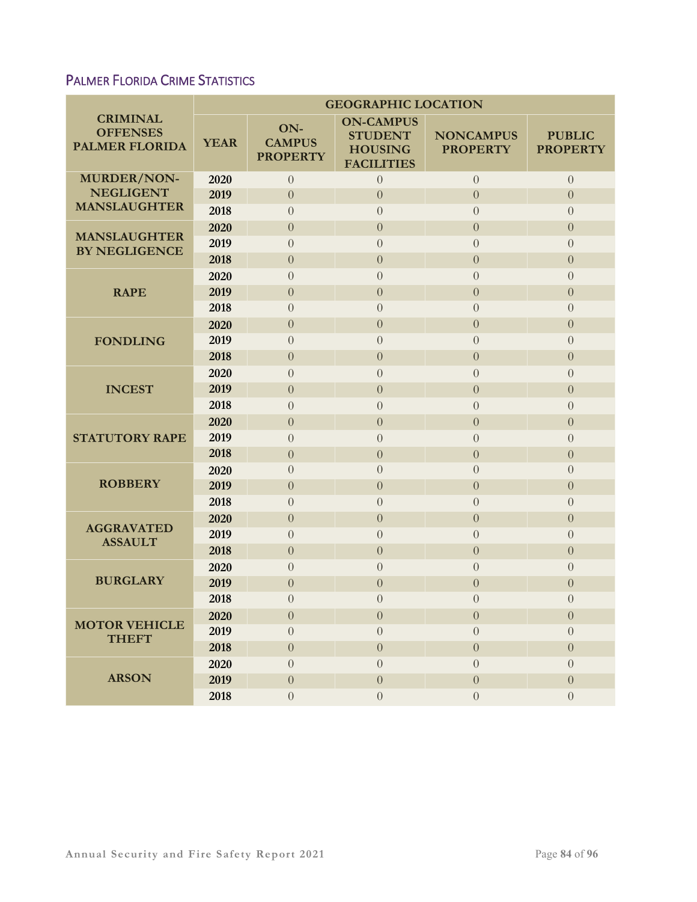## PALMER FLORIDA CRIME STATISTICS

|                                                             | <b>GEOGRAPHIC LOCATION</b> |                                         |                                                                           |                                     |                                  |  |  |  |
|-------------------------------------------------------------|----------------------------|-----------------------------------------|---------------------------------------------------------------------------|-------------------------------------|----------------------------------|--|--|--|
| <b>CRIMINAL</b><br><b>OFFENSES</b><br><b>PALMER FLORIDA</b> | <b>YEAR</b>                | ON-<br><b>CAMPUS</b><br><b>PROPERTY</b> | <b>ON-CAMPUS</b><br><b>STUDENT</b><br><b>HOUSING</b><br><b>FACILITIES</b> | <b>NONCAMPUS</b><br><b>PROPERTY</b> | <b>PUBLIC</b><br><b>PROPERTY</b> |  |  |  |
| MURDER/NON-                                                 | 2020                       | $\overline{0}$                          | $\overline{0}$                                                            | $\overline{0}$                      | $\overline{0}$                   |  |  |  |
| <b>NEGLIGENT</b><br><b>MANSLAUGHTER</b>                     | 2019                       | $\overline{0}$                          | $\overline{0}$                                                            | $\theta$                            | $\overline{0}$                   |  |  |  |
|                                                             | 2018                       | $\overline{0}$                          | $\overline{0}$                                                            | $\overline{0}$                      | $\overline{0}$                   |  |  |  |
| <b>MANSLAUGHTER</b><br><b>BY NEGLIGENCE</b>                 | 2020                       | $\overline{0}$                          | $\overline{0}$                                                            | $\theta$                            | $\overline{0}$                   |  |  |  |
|                                                             | 2019                       | $\overline{0}$                          | $\Omega$                                                                  | $\overline{0}$                      | $\overline{0}$                   |  |  |  |
|                                                             | 2018                       | $\theta$                                | $\boldsymbol{0}$                                                          | $\theta$                            | $\boldsymbol{0}$                 |  |  |  |
| <b>RAPE</b>                                                 | 2020                       | $\overline{0}$                          | $\Omega$                                                                  | $\overline{0}$                      | $\overline{0}$                   |  |  |  |
|                                                             | 2019                       | $\overline{0}$                          | $\overline{0}$                                                            | $\overline{0}$                      | $\overline{0}$                   |  |  |  |
|                                                             | 2018                       | $\overline{0}$                          | $\overline{0}$                                                            | $\overline{0}$                      | $\overline{0}$                   |  |  |  |
| <b>FONDLING</b>                                             | 2020                       | $\overline{0}$                          | $\overline{0}$                                                            | $\theta$                            | $\overline{0}$                   |  |  |  |
|                                                             | 2019                       | $\overline{0}$                          | $\overline{0}$                                                            | $\overline{0}$                      | $\overline{0}$                   |  |  |  |
|                                                             | 2018                       | $\theta$                                | $\overline{0}$                                                            | $\theta$                            | $\boldsymbol{0}$                 |  |  |  |
| <b>INCEST</b>                                               | 2020                       | $\overline{0}$                          | $\overline{0}$                                                            | $\overline{0}$                      | $\overline{0}$                   |  |  |  |
|                                                             | 2019                       | $\overline{0}$                          | $\overline{0}$                                                            | $\overline{0}$                      | $\overline{0}$                   |  |  |  |
|                                                             | 2018                       | $\overline{0}$                          | $\Omega$                                                                  | $\overline{0}$                      | $\overline{0}$                   |  |  |  |
|                                                             | 2020                       | $\overline{0}$                          | $\overline{0}$                                                            | $\overline{0}$                      | $\overline{0}$                   |  |  |  |
| <b>STATUTORY RAPE</b>                                       | 2019                       | $\overline{0}$                          | $\overline{0}$                                                            | $\theta$                            | $\overline{0}$                   |  |  |  |
|                                                             | 2018                       | $\overline{0}$                          | $\overline{0}$                                                            | $\theta$                            | $\boldsymbol{0}$                 |  |  |  |
|                                                             | 2020                       | $\overline{0}$                          | $\overline{0}$                                                            | $\overline{0}$                      | $\overline{0}$                   |  |  |  |
| <b>ROBBERY</b>                                              | 2019                       | $\theta$                                | $\overline{0}$                                                            | $\theta$                            | $\boldsymbol{0}$                 |  |  |  |
|                                                             | 2018                       | $\overline{0}$                          | $\overline{0}$                                                            | $\overline{0}$                      | $\overline{0}$                   |  |  |  |
| <b>AGGRAVATED</b><br><b>ASSAULT</b>                         | 2020                       | $\theta$                                | $\boldsymbol{0}$                                                          | $\theta$                            | $\boldsymbol{0}$                 |  |  |  |
|                                                             | 2019                       | $\theta$                                | $\overline{0}$                                                            | $\overline{0}$                      | $\overline{0}$                   |  |  |  |
|                                                             | 2018                       | $\theta$                                | $\overline{0}$                                                            | $\theta$                            | $\overline{0}$                   |  |  |  |
|                                                             | 2020                       | $\overline{0}$                          | $\overline{0}$                                                            | $\overline{0}$                      | $\overline{0}$                   |  |  |  |
| <b>BURGLARY</b>                                             | 2019                       | $\overline{0}$                          | $\overline{0}$                                                            | $\theta$                            | $\overline{0}$                   |  |  |  |
|                                                             | 2018                       | $\overline{0}$                          | $\overline{0}$                                                            | $\overline{0}$                      | $\overline{0}$                   |  |  |  |
| <b>MOTOR VEHICLE</b>                                        | 2020                       | $\theta$                                | $\boldsymbol{0}$                                                          | $\theta$                            | $\boldsymbol{0}$                 |  |  |  |
| <b>THEFT</b>                                                | 2019                       | $\overline{0}$                          | $\theta$                                                                  | $\overline{0}$                      | $\overline{0}$                   |  |  |  |
|                                                             | 2018                       | $\overline{0}$                          | $\overline{0}$                                                            | $\theta$                            | $\overline{0}$                   |  |  |  |
| <b>ARSON</b>                                                | 2020                       | $\theta$                                | $\overline{0}$                                                            | $\theta$                            | $\overline{0}$                   |  |  |  |
|                                                             | 2019                       | $\theta$                                | $\boldsymbol{0}$                                                          | $\theta$                            | $\boldsymbol{0}$                 |  |  |  |
|                                                             | 2018                       | $\overline{0}$                          | $\overline{0}$                                                            | $\overline{0}$                      | $\overline{0}$                   |  |  |  |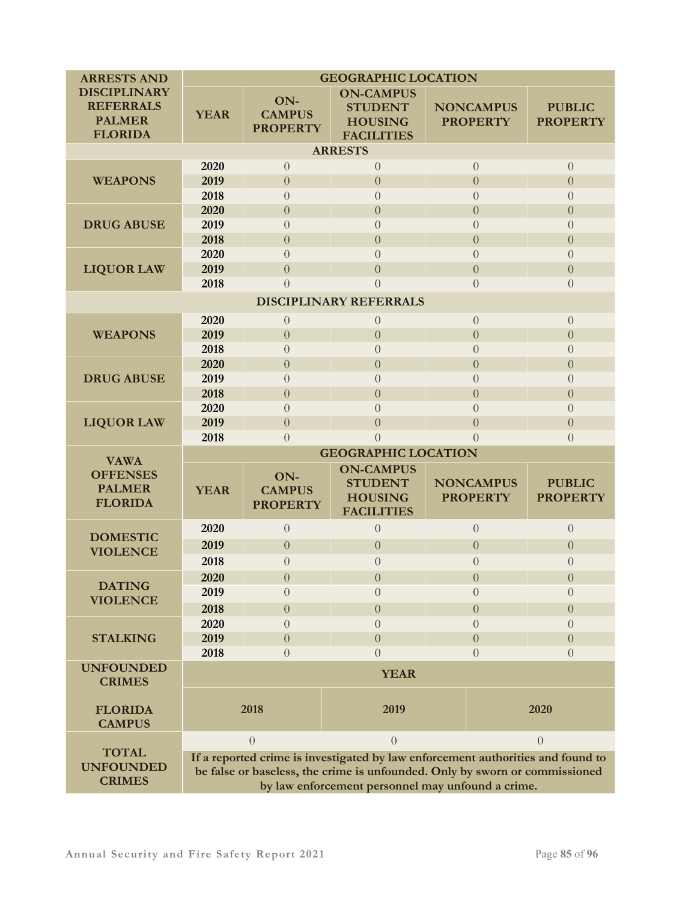| <b>ARRESTS AND</b>                                                         | <b>GEOGRAPHIC LOCATION</b>                                                                                                                                                                                          |                                         |                                                                           |                |                                     |                                  |  |  |  |
|----------------------------------------------------------------------------|---------------------------------------------------------------------------------------------------------------------------------------------------------------------------------------------------------------------|-----------------------------------------|---------------------------------------------------------------------------|----------------|-------------------------------------|----------------------------------|--|--|--|
| <b>DISCIPLINARY</b><br><b>REFERRALS</b><br><b>PALMER</b><br><b>FLORIDA</b> | <b>YEAR</b>                                                                                                                                                                                                         | ON-<br><b>CAMPUS</b><br><b>PROPERTY</b> | <b>ON-CAMPUS</b><br><b>STUDENT</b><br><b>HOUSING</b><br><b>FACILITIES</b> |                | <b>NONCAMPUS</b><br><b>PROPERTY</b> | <b>PUBLIC</b><br><b>PROPERTY</b> |  |  |  |
| <b>ARRESTS</b>                                                             |                                                                                                                                                                                                                     |                                         |                                                                           |                |                                     |                                  |  |  |  |
|                                                                            | 2020                                                                                                                                                                                                                | $\overline{0}$                          | $\theta$                                                                  |                | $\overline{0}$                      | $\overline{0}$                   |  |  |  |
| <b>WEAPONS</b>                                                             | 2019                                                                                                                                                                                                                | $\boldsymbol{0}$                        | $\theta$                                                                  |                | $\overline{0}$                      | $\overline{0}$                   |  |  |  |
|                                                                            | 2018                                                                                                                                                                                                                | $\overline{0}$                          | $\overline{0}$                                                            |                | $\overline{0}$                      | $\overline{0}$                   |  |  |  |
| <b>DRUG ABUSE</b>                                                          | 2020                                                                                                                                                                                                                | $\overline{0}$                          | $\overline{0}$                                                            |                | $\theta$                            | $\overline{0}$                   |  |  |  |
|                                                                            | 2019                                                                                                                                                                                                                | $\overline{0}$                          | $\overline{0}$                                                            |                | $\overline{0}$                      | $\overline{0}$                   |  |  |  |
|                                                                            | 2018                                                                                                                                                                                                                | $\boldsymbol{0}$                        | $\overline{0}$                                                            |                | $\theta$                            | $\overline{0}$                   |  |  |  |
| <b>LIQUOR LAW</b>                                                          | 2020                                                                                                                                                                                                                | $\overline{0}$                          | $\overline{0}$                                                            | $\overline{0}$ |                                     | $\overline{0}$                   |  |  |  |
|                                                                            | 2019                                                                                                                                                                                                                | $\boldsymbol{0}$                        | $\overline{0}$                                                            |                | $\overline{0}$                      | $\Omega$                         |  |  |  |
|                                                                            | 2018                                                                                                                                                                                                                | $\overline{0}$                          | $\overline{0}$                                                            |                | $\overline{0}$                      | $\overline{0}$                   |  |  |  |
| <b>DISCIPLINARY REFERRALS</b>                                              |                                                                                                                                                                                                                     |                                         |                                                                           |                |                                     |                                  |  |  |  |
| <b>WEAPONS</b>                                                             | 2020                                                                                                                                                                                                                | $\overline{0}$                          | $\overline{0}$                                                            | $\overline{0}$ |                                     | $\overline{0}$                   |  |  |  |
|                                                                            | 2019                                                                                                                                                                                                                | $\boldsymbol{0}$                        | $\overline{0}$                                                            |                | $\theta$                            | $\overline{0}$                   |  |  |  |
|                                                                            | 2018                                                                                                                                                                                                                | $\overline{0}$                          | $\overline{0}$                                                            |                | $\overline{0}$                      | $\overline{0}$                   |  |  |  |
| <b>DRUG ABUSE</b>                                                          | 2020                                                                                                                                                                                                                | $\boldsymbol{0}$                        | $\overline{0}$                                                            | $\overline{0}$ |                                     | $\overline{0}$                   |  |  |  |
|                                                                            | 2019                                                                                                                                                                                                                | $\overline{0}$                          | $\theta$                                                                  |                | $\overline{0}$                      | $\Omega$                         |  |  |  |
|                                                                            | 2018                                                                                                                                                                                                                | $\boldsymbol{0}$                        | $\overline{0}$                                                            |                | $\overline{0}$                      | $\overline{0}$                   |  |  |  |
|                                                                            | 2020                                                                                                                                                                                                                | $\overline{0}$                          | $\overline{0}$                                                            |                | $\overline{0}$                      | $\Omega$                         |  |  |  |
| <b>LIQUOR LAW</b>                                                          | 2019                                                                                                                                                                                                                | $\overline{0}$                          | $\overline{0}$                                                            |                | $\overline{0}$                      | $\overline{0}$                   |  |  |  |
|                                                                            | 2018                                                                                                                                                                                                                | $\overline{0}$                          | $\overline{0}$                                                            |                | $\overline{0}$                      | $\overline{0}$                   |  |  |  |
| <b>VAWA</b>                                                                | <b>GEOGRAPHIC LOCATION</b>                                                                                                                                                                                          |                                         |                                                                           |                |                                     |                                  |  |  |  |
| <b>OFFENSES</b><br><b>PALMER</b><br><b>FLORIDA</b>                         | <b>YEAR</b>                                                                                                                                                                                                         | ON-<br><b>CAMPUS</b><br><b>PROPERTY</b> | <b>ON-CAMPUS</b><br><b>STUDENT</b><br><b>HOUSING</b><br><b>FACILITIES</b> |                | <b>NONCAMPUS</b><br><b>PROPERTY</b> | <b>PUBLIC</b><br><b>PROPERTY</b> |  |  |  |
| <b>DOMESTIC</b><br><b>VIOLENCE</b>                                         | 2020                                                                                                                                                                                                                | $\overline{0}$                          | $\overline{0}$                                                            | $\overline{0}$ |                                     | $\overline{0}$                   |  |  |  |
|                                                                            | 2019                                                                                                                                                                                                                | $\boldsymbol{0}$                        | $\overline{0}$                                                            | $\theta$       |                                     | $\overline{0}$                   |  |  |  |
|                                                                            | 2018                                                                                                                                                                                                                | $\boldsymbol{0}$                        | $\overline{0}$                                                            | $\theta$       |                                     | $\overline{0}$                   |  |  |  |
| <b>DATING</b><br><b>VIOLENCE</b>                                           | 2020                                                                                                                                                                                                                | $\Omega$                                | $\theta$                                                                  | $\Omega$       |                                     | $\Omega$                         |  |  |  |
|                                                                            | 2019                                                                                                                                                                                                                | $\overline{0}$                          | $\overline{0}$                                                            | $\overline{0}$ |                                     | $\overline{0}$                   |  |  |  |
|                                                                            | 2018                                                                                                                                                                                                                | $\boldsymbol{0}$                        | $\overline{0}$                                                            | $\overline{0}$ |                                     | $\boldsymbol{0}$                 |  |  |  |
| <b>STALKING</b>                                                            | 2020                                                                                                                                                                                                                | $\theta$                                | $\theta$                                                                  | $\theta$       |                                     | $\Omega$                         |  |  |  |
|                                                                            | 2019                                                                                                                                                                                                                | $\theta$                                | $\overline{0}$                                                            |                | $\theta$                            | $\overline{0}$                   |  |  |  |
|                                                                            | 2018                                                                                                                                                                                                                | $\overline{0}$                          | $\overline{0}$                                                            |                | $\Omega$                            | $\Omega$                         |  |  |  |
| <b>UNFOUNDED</b><br><b>CRIMES</b>                                          | <b>YEAR</b>                                                                                                                                                                                                         |                                         |                                                                           |                |                                     |                                  |  |  |  |
| <b>FLORIDA</b><br><b>CAMPUS</b>                                            | 2018                                                                                                                                                                                                                |                                         | 2019                                                                      |                | 2020                                |                                  |  |  |  |
|                                                                            |                                                                                                                                                                                                                     | $\overline{0}$                          | $\theta$                                                                  |                |                                     | $\overline{0}$                   |  |  |  |
| <b>TOTAL</b><br><b>UNFOUNDED</b><br><b>CRIMES</b>                          | If a reported crime is investigated by law enforcement authorities and found to<br>be false or baseless, the crime is unfounded. Only by sworn or commissioned<br>by law enforcement personnel may unfound a crime. |                                         |                                                                           |                |                                     |                                  |  |  |  |